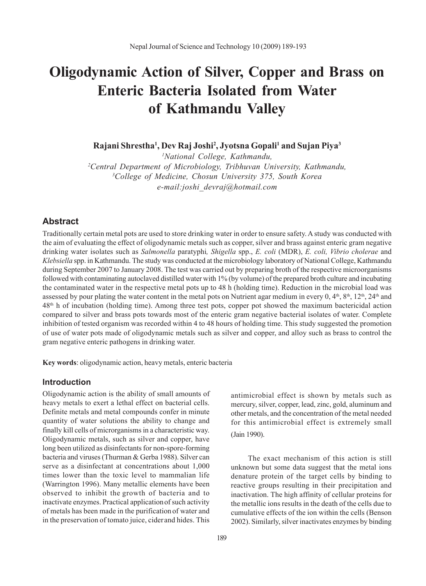# **Oligodynamic Action of Silver, Copper and Brass on Enteric Bacteria Isolated from Water of Kathmandu Valley**

**Rajani Shrestha1 , Dev Raj Joshi2 , Jyotsna Gopali1 and Sujan Piya3**

 *National College, Kathmandu, Central Department of Microbiology, Tribhuvan University, Kathmandu, College of Medicine, Chosun University 375, South Korea e-mail:joshi\_devraj@hotmail.com*

## **Abstract**

Traditionally certain metal pots are used to store drinking water in order to ensure safety. A study was conducted with the aim of evaluating the effect of oligodynamic metals such as copper, silver and brass against enteric gram negative drinking water isolates such as *Salmonella* paratyphi*, Shigella* spp., *E. coli* (MDR), *E. coli, Vibrio cholerae* and *Klebsiella* spp. in Kathmandu. The study was conducted at the microbiology laboratory of National College, Kathmandu during September 2007 to January 2008. The test was carried out by preparing broth of the respective microorganisms followed with contaminating autoclaved distilled water with 1% (by volume) of the prepared broth culture and incubating the contaminated water in the respective metal pots up to 48 h (holding time). Reduction in the microbial load was assessed by pour plating the water content in the metal pots on Nutrient agar medium in every  $0, 4<sup>th</sup>, 8<sup>th</sup>, 12<sup>th</sup>, 24<sup>th</sup>$  and 48th h of incubation (holding time). Among three test pots, copper pot showed the maximum bactericidal action compared to silver and brass pots towards most of the enteric gram negative bacterial isolates of water. Complete inhibition of tested organism was recorded within 4 to 48 hours of holding time. This study suggested the promotion of use of water pots made of oligodynamic metals such as silver and copper, and alloy such as brass to control the gram negative enteric pathogens in drinking water.

**Key words**: oligodynamic action, heavy metals, enteric bacteria

# **Introduction**

Oligodynamic action is the ability of small amounts of heavy metals to exert a lethal effect on bacterial cells. Definite metals and metal compounds confer in minute quantity of water solutions the ability to change and finally kill cells of microrganisms in a characteristic way. Oligodynamic metals, such as silver and copper, have long been utilized as disinfectants for non-spore-forming bacteria and viruses (Thurman & Gerba 1988). Silver can serve as a disinfectant at concentrations about 1,000 times lower than the toxic level to mammalian life (Warrington 1996). Many metallic elements have been observed to inhibit the growth of bacteria and to inactivate enzymes. Practical applicationof such activity of metals has been made in the purification of water and in the preservation of tomato juice, cider and hides. This

antimicrobial effect is shown by metals such as mercury, silver, copper, lead, zinc, gold, aluminum and other metals, and the concentration of the metal needed for this antimicrobial effect is extremely small (Jain 1990).

The exact mechanism of this action is still unknown but some data suggest that the metal ions denature protein of the target cells by binding to reactive groups resulting in their precipitation and inactivation. The high affinity of cellular proteins for the metallic ions results in the death of the cells due to cumulative effects of the ion within the cells (Benson 2002). Similarly, silver inactivates enzymes by binding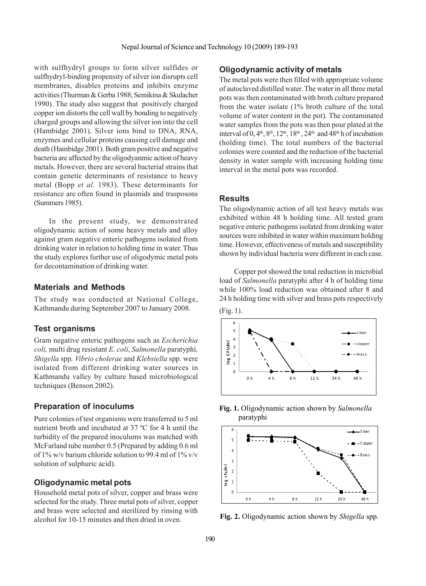with sulfhydryl groups to form silver sulfides or sulfhydryl-binding propensity of silver ion disrupts cell membranes, disables proteins and inhibits enzyme activities (Thurman & Gerba 1988; Semikina & Skulacher 1990). The study also suggest that positively charged copper ion distorts the cell wall by bonding to negatively charged groups and allowing the silver ion into the cell (Hambidge 2001). Silver ions bind to DNA, RNA, enzymes and cellular proteins causing cell damage and death (Hambidge 2001). Both gram positive and negative bacteria are affected by the oligodyanmic action of heavy metals. However, there are several bacterial strains that contain genetic determinants of resistance to heavy metal (Bopp *et al.* 1983). These determinants for resistance are often found in plasmids and trasposons (Summers 1985).

In the present study, we demonstrated oligodynamic action of some heavy metals and alloy against gram negative enteric pathogens isolated from drinking water in relation to holding time in water. Thus the study explores further use of oligodymic metal pots for decontamination of drinking water.

#### **Materials and Methods**

The study was conducted at National College, Kathmandu during September 2007 to January 2008.

## **Test organisms**

Gram negative enteric pathogens such as *Escherichia coli,* multi drug resistant *E. coli*, *Salmonella* paratyphi*, Shigella* spp*, Vibrio cholerae* and *Klebsiella* spp. were isolated from different drinking water sources in Kathmandu valley by culture based microbiological techniques (Benson 2002).

## **Preparation of inoculums**

Pure colonies of test organisms were transferred to 5 ml nutrient broth and incubated at 37 ºC for 4 h until the turbidity of the prepared inoculums was matched with McFarland tube number 0.5 (Prepared by adding 0.6 ml of 1% w/v barium chloride solution to 99.4 ml of 1% v/v solution of sulphuric acid).

## **Oligodynamic metal pots**

Household metal pots of silver, copper and brass were selected for the study. Three metal pots of silver, copper and brass were selected and sterilized by rinsing with alcohol for 10-15 minutes and then dried in oven.

## **Oligodynamic activity of metals**

The metal pots were then filled with appropriate volume of autoclaved distilled water. The water in all three metal pots was then contaminated with broth culture prepared from the water isolate (1% broth culture of the total volume of water content in the pot). The contaminated water samples from the pots was then pour plated at the interval of  $0$ ,  $4<sup>th</sup>$ ,  $8<sup>th</sup>$ ,  $12<sup>th</sup>$ ,  $18<sup>th</sup>$ ,  $24<sup>th</sup>$  and  $48<sup>th</sup>$  h of incubation (holding time). The total numbers of the bacterial colonies were counted and the reduction of the bacterial density in water sample with increasing holding time interval in the metal pots was recorded.

#### **Results**

The oligodynamic action of all test heavy metals was exhibited within 48 h holding time. All tested gram negative enteric pathogens isolated from drinking water sources were inhibited in water within maximum holding time. However, effectiveness of metals and susceptibility shown by individual bacteria were different in each case.

Copper pot showed the total reduction in microbial load of *Salmonella* paratyphi after 4 h of holding time while 100% load reduction was obtained after 8 and 24 h holding time with silver and brass pots respectively









**Fig. 2.** Oligodynamic action shown by *Shigella* spp.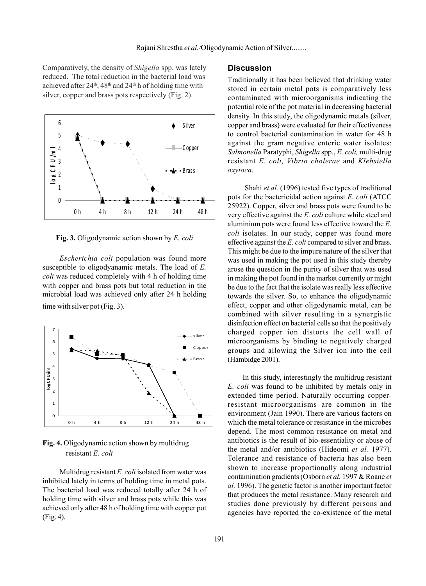Comparatively, the density of *Shigella* spp. was lately reduced. The total reduction in the bacterial load was achieved after  $24<sup>th</sup>$ ,  $48<sup>th</sup>$  and  $24<sup>th</sup>$  h of holding time with silver, copper and brass pots respectively (Fig. 2).



**Fig. 3.** Oligodynamic action shown by *E. coli*

*Escherichia coli* population was found more susceptible to oligodyanamic metals. The load of *E. coli* was reduced completely with 4 h of holding time with copper and brass pots but total reduction in the microbial load was achieved only after 24 h holding time with silver pot (Fig. 3).



**Fig. 4.** Oligodynamic action shown by multidrug resistant *E. coli*

Multidrug resistant *E. coli* isolated from water was inhibited lately in terms of holding time in metal pots. The bacterial load was reduced totally after 24 h of holding time with silver and brass pots while this was achieved only after 48 h of holding time with copper pot (Fig. 4).

## **Discussion**

Traditionally it has been believed that drinking water stored in certain metal pots is comparatively less contaminated with microorganisms indicating the potential role of the pot material in decreasing bacterial density. In this study, the oligodynamic metals (silver, copper and brass) were evaluated for their effectiveness to control bacterial contamination in water for 48 h against the gram negative enteric water isolates: *Salmonella* Paratyphi, *Shigella* spp., *E. coli,* multi-drug resistant *E. coli, Vibrio cholerae* and *Klebsiella oxytoca*.

Shahi *et al.* (1996) tested five types of traditional pots for the bactericidal action against *E. coli* (ATCC 25922). Copper, silver and brass pots were found to be very effective against the *E. coli* culture while steel and aluminium pots were found less effective toward the *E. coli* isolates. In our study, copper was found more effective against the *E*. *coli* compared to silver and brass. This might be due to the impure nature of the silver that was used in making the pot used in this study thereby arose the question in the purity of silver that was used in making the pot found in the market currently or might be due to the fact that the isolate was really less effective towards the silver. So, to enhance the oligodynamic effect, copper and other oligodynamic metal, can be combined with silver resulting in a synergistic disinfection effect on bacterial cells so that the positively charged copper ion distorts the cell wall of microorganisms by binding to negatively charged groups and allowing the Silver ion into the cell (Hambidge 2001).

In this study, interestingly the multidrug resistant *E. coli* was found to be inhibited by metals only in extended time period. Naturally occurring copperresistant microorganisms are common in the environment (Jain 1990). There are various factors on which the metal tolerance or resistance in the microbes depend. The most common resistance on metal and antibiotics is the result of bio-essentiality or abuse of the metal and/or antibiotics (Hideomi *et al.* 1977). Tolerance and resistance of bacteria has also been shown to increase proportionally along industrial contamination gradients (Osborn *et al.* 1997 & Roane *et al.* 1996). The genetic factor is another important factor that produces the metal resistance. Many research and studies done previously by different persons and agencies have reported the co-existence of the metal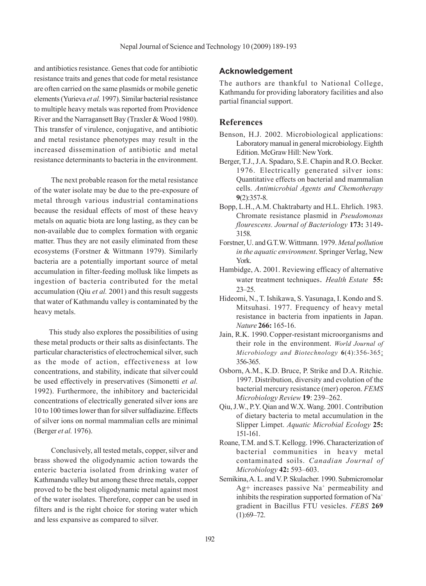and antibiotics resistance. Genes that code for antibiotic resistance traits and genes that code for metal resistance are often carried on the same plasmids or mobile genetic elements (Yurieva *et al.* 1997). Similar bacterial resistance to multiple heavy metals was reported from Providence River and the Narragansett Bay (Traxler & Wood 1980). This transfer of virulence, conjugative, and antibiotic and metal resistance phenotypes may result in the increased dissemination of antibiotic and metal resistance determinants to bacteria in the environment.

The next probable reason for the metal resistance of the water isolate may be due to the pre-exposure of metal through various industrial contaminations because the residual effects of most of these heavy metals on aquatic biota are long lasting, as they can be non-available due to complex formation with organic matter. Thus they are not easily eliminated from these ecosystems (Forstner & Wittmann 1979). Similarly bacteria are a potentially important source of metal accumulation in filter-feeding mollusk like limpets as ingestion of bacteria contributed for the metal accumulation (Qiu *et al.* 2001) and this result suggests that water of Kathmandu valley is contaminated by the heavy metals.

This study also explores the possibilities of using these metal products or their salts as disinfectants. The particular characteristics of electrochemical silver, such as the mode of action, effectiveness at low concentrations, and stability, indicate that silver could be used effectively in preservatives (Simonetti *et al.* 1992). Furthermore, the inhibitory and bactericidal concentrations of electrically generated silver ions are 10 to 100 times lower than for silver sulfadiazine. Effects of silver ions on normal mammalian cells are minimal (Berger *et al.* 1976).

Conclusively, all tested metals, copper, silver and brass showed the oligodynamic action towards the enteric bacteria isolated from drinking water of Kathmandu valley but among these three metals, copper proved to be the best oligodynamic metal against most of the water isolates. Therefore, copper can be used in filters and is the right choice for storing water which and less expansive as compared to silver.

# **Acknowledgement**

The authors are thankful to National College, Kathmandu for providing laboratory facilities and also partial financial support.

# **References**

- Benson, H.J. 2002. Microbiological applications: Laboratory manual in general microbiology.Eighth Edition. McGraw Hill: New York.
- Berger, T.J., J.A. Spadaro, S.E. Chapin and R.O. Becker. 1976. Electrically generated silver ions: Quantitative effects on bacterial and mammalian cells. *Antimicrobial Agents and Chemotherapy* **9**(2):357-8.
- Bopp, L.H., A.M. Chaktrabarty and H.L. Ehrlich. 1983. Chromate resistance plasmid in *Pseudomonas flourescens. Journal of Bacteriology* **173:** 3149- 3158.
- Forstner, U. and G.T.W. Wittmann. 1979. *Metal pollution in the aquatic environment*. Springer Verlag, New York.
- Hambidge, A. 2001. Reviewing efficacy of alternative water treatment techniques. *Health Estate* **55:** 23–25.
- Hideomi, N., T. Ishikawa, S. Yasunaga, I. Kondo and S. Mitsuhasi. 1977. Frequency of heavy metal resistance in bacteria from inpatients in Japan. *Nature* **266:** 165-16.
- Jain, R.K. 1990.Copper-resistant microorganisms and their role in the environment. *World Journal of Microbiology and Biotechnology* **6**(4):356-365: 356-365.
- Osborn, A.M., K.D. Bruce, P. Strike and D.A. Ritchie. 1997. Distribution, diversity and evolution of the bacterial mercury resistance (mer) operon. *FEMS Microbiology Review* **19**: 239–262.
- Qiu, J.W., P.Y. Qian and W.X. Wang. 2001. Contribution of dietary bacteria to metal accumulation in the Slipper Limpet. *Aquatic Microbial Ecology* **25:** 151-161.
- Roane, T.M. and S.T. Kellogg. 1996. Characterization of bacterial communities in heavy metal contaminated soils. *Canadian Journal of Microbiology* **42:** 593–603.
- Semikina, A. L. and V. P. Skulacher. 1990. Submicromolar Ag+ increases passive  $Na<sup>+</sup>$  permeability and inhibits the respiration supported formation of Na+ gradient in Bacillus FTU vesicles. *FEBS* **269**  $(1):69-72.$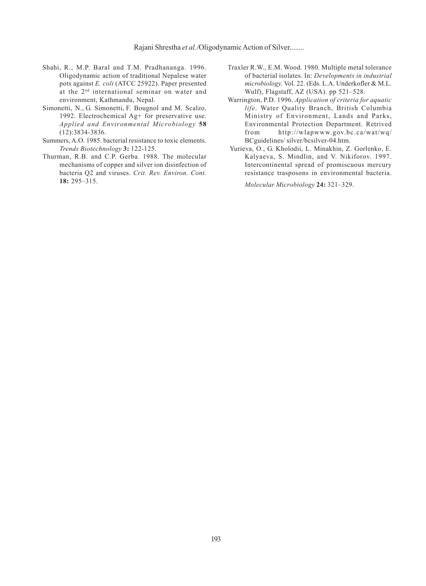- Shahi, R., M.P. Baral and T.M. Pradhananga. 1996. Oligodynamic action of traditional Nepalese water pots against *E. coli* (ATCC 25922). Paper presented at the 2nd international seminar on water and environment, Kathmandu, Nepal.
- Simonetti, N., G. Simonetti, F. Bougnol and M. Scalzo. 1992. Electrochemical Ag+ for preservative use. *Applied and Environmental Microbiology* **58** (12):3834-3836.
- Summers, A.O. 1985. bacterial resistance to toxic elements. *Trends Biotechnology* **3:** 122-125.
- Thurman, R.B. and C.P. Gerba. 1988. The molecular mechanisms of copper and silver ion disinfection of bacteria Q2 and viruses. *Crit. Rev. Environ. Cont.* **18:** 295–315.
- Traxler R.W., E.M. Wood. 1980. Multiple metal tolerance of bacterial isolates. In: *Developments in industrial microbiology.* Vol. 22. (Eds. L.A. Underkofler & M.L. Wulf), Flagstaff, AZ (USA). pp 521–528.
- Warrington, P.D. 1996. *Application of criteria for aquatic life*. Water Quality Branch, British Columbia Ministry of Environment, Lands and Parks, Environmental Protection Department. Retrived from http://wlapwww.gov.bc.ca/wat/wq/ BCguidelines/ silver/bcsilver-04.htm.
- Yurieva, O., G. Kholodii, L. Minakhin, Z. Gorlenko, E. Kalyaeva, S. Mindlin, and V. Nikiforov. 1997. Intercontinental spread of promiscuous mercury resistance trasposons in environmental bacteria.

*Molecular Microbiology* **24:** 321–329.